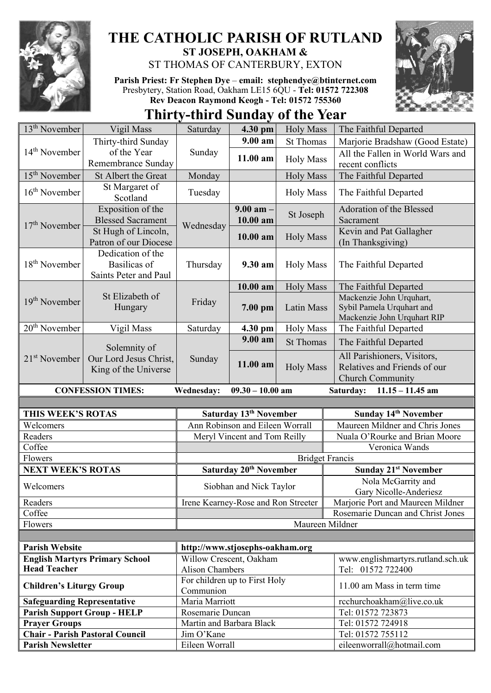

## **THE CATHOLIC PARISH OF RUTLAND ST JOSEPH, OAKHAM &**  ST THOMAS OF CANTERBURY, EXTON

**Parish Priest: Fr Stephen Dye** – **[email: stephendye@btinternet.com](mailto:email:%20%20stephendye@btinternet.com)** Presbytery, Station Road, Oakham LE15 6QU - **Tel: 01572 722308 Rev Deacon Raymond Keogh - Tel: 01572 755360**



**Thirty-third Sunday of the Year**

| $13th$ November                                | Vigil Mass                                                        | Saturday                                     | 4.30 pm                            | <b>Holy Mass</b>       | The Faithful Departed                                                                  |  |  |
|------------------------------------------------|-------------------------------------------------------------------|----------------------------------------------|------------------------------------|------------------------|----------------------------------------------------------------------------------------|--|--|
| $14th$ November                                | Thirty-third Sunday                                               |                                              | $9.00 a$ m                         | <b>St Thomas</b>       | Marjorie Bradshaw (Good Estate)                                                        |  |  |
|                                                | of the Year<br>Remembrance Sunday                                 | Sunday                                       | 11.00 am                           | <b>Holy Mass</b>       | All the Fallen in World Wars and<br>recent conflicts                                   |  |  |
| $15th$ November                                | St Albert the Great                                               | Monday                                       |                                    | <b>Holy Mass</b>       | The Faithful Departed                                                                  |  |  |
| $16th$ November                                | St Margaret of<br>Scotland                                        | Tuesday                                      |                                    | <b>Holy Mass</b>       | The Faithful Departed                                                                  |  |  |
| $17th$ November                                | Exposition of the<br><b>Blessed Sacrament</b>                     | Wednesday                                    | $9.00$ am $-$<br>10.00 am          | St Joseph              | Adoration of the Blessed<br>Sacrament                                                  |  |  |
|                                                | St Hugh of Lincoln,<br>Patron of our Diocese                      |                                              | 10.00 am                           | <b>Holy Mass</b>       | Kevin and Pat Gallagher<br>(In Thanksgiving)                                           |  |  |
| $18th$ November                                | Dedication of the<br><b>Basilicas</b> of<br>Saints Peter and Paul | Thursday                                     | 9.30 am                            | <b>Holy Mass</b>       | The Faithful Departed                                                                  |  |  |
|                                                | St Elizabeth of<br>Hungary                                        | Friday                                       | 10.00 am                           | <b>Holy Mass</b>       | The Faithful Departed                                                                  |  |  |
| $19th$ November                                |                                                                   |                                              | 7.00 pm                            | <b>Latin Mass</b>      | Mackenzie John Urquhart,<br>Sybil Pamela Urquhart and<br>Mackenzie John Urquhart RIP   |  |  |
| 20 <sup>th</sup> November                      | Vigil Mass                                                        | Saturday                                     | 4.30 pm                            | <b>Holy Mass</b>       | The Faithful Departed                                                                  |  |  |
| $21st$ November                                | Solemnity of<br>Our Lord Jesus Christ,<br>King of the Universe    | Sunday                                       | 9.00 am                            | <b>St Thomas</b>       | The Faithful Departed                                                                  |  |  |
|                                                |                                                                   |                                              | 11.00 am                           | <b>Holy Mass</b>       | All Parishioners, Visitors,<br>Relatives and Friends of our<br><b>Church Community</b> |  |  |
| $09.30 - 10.00$ am<br><b>CONFESSION TIMES:</b> |                                                                   |                                              |                                    |                        |                                                                                        |  |  |
|                                                |                                                                   | <b>Wednesday:</b>                            |                                    |                        | $11.15 - 11.45$ am<br>Saturday:                                                        |  |  |
|                                                |                                                                   |                                              |                                    |                        |                                                                                        |  |  |
| THIS WEEK'S ROTAS                              |                                                                   |                                              | Saturday 13 <sup>th</sup> November |                        | Sunday 14th November                                                                   |  |  |
| Welcomers                                      |                                                                   |                                              | Ann Robinson and Eileen Worrall    |                        | Maureen Mildner and Chris Jones                                                        |  |  |
| Readers                                        |                                                                   |                                              | Meryl Vincent and Tom Reilly       |                        | Nuala O'Rourke and Brian Moore                                                         |  |  |
| Coffee                                         |                                                                   |                                              |                                    |                        | Veronica Wands                                                                         |  |  |
| Flowers                                        |                                                                   |                                              |                                    | <b>Bridget Francis</b> |                                                                                        |  |  |
| <b>NEXT WEEK'S ROTAS</b>                       |                                                                   |                                              | Saturday 20 <sup>th</sup> November |                        | <b>Sunday 21st November</b>                                                            |  |  |
| Welcomers                                      |                                                                   |                                              | Siobhan and Nick Taylor            |                        | Nola McGarrity and<br>Gary Nicolle-Anderiesz                                           |  |  |
| Readers                                        |                                                                   | Irene Kearney-Rose and Ron Streeter          |                                    |                        | Marjorie Port and Maureen Mildner                                                      |  |  |
| Coffee                                         |                                                                   |                                              |                                    |                        | Rosemarie Duncan and Christ Jones                                                      |  |  |
| Flowers                                        |                                                                   |                                              |                                    | Maureen Mildner        |                                                                                        |  |  |
|                                                |                                                                   |                                              |                                    |                        |                                                                                        |  |  |
| <b>Parish Website</b>                          |                                                                   | http://www.stjosephs-oakham.org              |                                    |                        |                                                                                        |  |  |
|                                                | <b>English Martyrs Primary School</b>                             | Willow Crescent, Oakham                      |                                    |                        | www.englishmartyrs.rutland.sch.uk                                                      |  |  |
| <b>Head Teacher</b>                            |                                                                   | <b>Alison Chambers</b>                       |                                    |                        | Tel: 01572 722400                                                                      |  |  |
| <b>Children's Liturgy Group</b>                |                                                                   | For children up to First Holy                |                                    |                        | 11.00 am Mass in term time                                                             |  |  |
|                                                |                                                                   | Communion                                    |                                    |                        |                                                                                        |  |  |
| <b>Safeguarding Representative</b>             |                                                                   | Maria Marriott                               |                                    |                        | rcchurchoakham@live.co.uk                                                              |  |  |
| <b>Prayer Groups</b>                           | <b>Parish Support Group - HELP</b>                                | Rosemarie Duncan<br>Martin and Barbara Black |                                    |                        | Tel: 01572 723873<br>Tel: 01572 724918                                                 |  |  |
|                                                | <b>Chair - Parish Pastoral Council</b>                            | Jim O'Kane                                   |                                    |                        | Tel: 01572 755112                                                                      |  |  |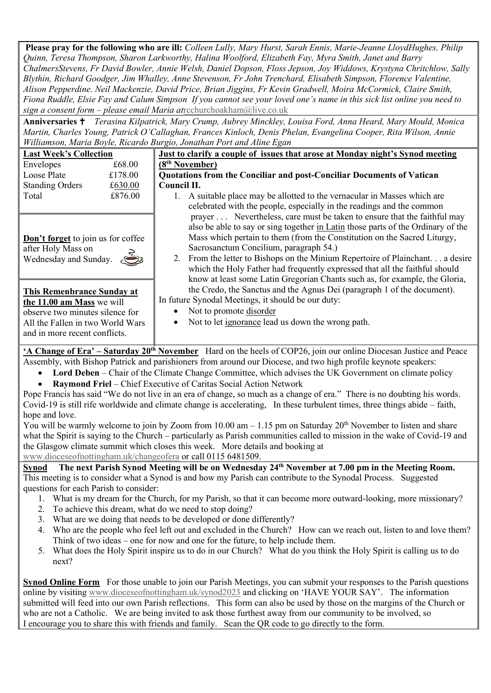**Please pray for the following who are ill:** *Colleen Lully, Mary Hurst, Sarah Ennis, Marie-Jeanne LloydHughes, Philip Quinn, Teresa Thompson, Sharon Larkworthy, Halina Woolford, Elizabeth Fay, Myra Smith, Janet and Barry ChalmersStevens, Fr David Bowler, Annie Welsh, Daniel Dopson, Floss Jepson, Joy Widdows, Krystyna Chritchlow, Sally Blythin, Richard Goodger, Jim Whalley, Anne Stevenson, Fr John Trenchard, Elisabeth Simpson, Florence Valentine, Alison Pepperdine. Neil Mackenzie, David Price, Brian Jiggins, Fr Kevin Gradwell, Moira McCormick, Claire Smith, Fiona Ruddle, Elsie Fay and Calum Simpson If you cannot see your loved one's name in this sick list online you need to sign a consent form – please email Maria at*[rcchurchoakham@live.co.uk](mailto:rcchurchoakham@live.co.uk)

**Anniversaries**  *Terasina Kilpatrick, Mary Crump, Aubrey Minckley, Louisa Ford, Anna Heard, Mary Mould, Monica Martin, Charles Young, Patrick O'Callaghan, Frances Kinloch, Denis Phelan, Evangelina Cooper, Rita Wilson, Annie Williamson, Maria Boyle, Ricardo Burgio, Jonathan Port and Aline Egan*

| <b>Last Week's Collection</b>      |         | Just to clarify a couple of issues that arose at Monday night's Synod meeting    |  |  |  |  |
|------------------------------------|---------|----------------------------------------------------------------------------------|--|--|--|--|
| Envelopes                          | £68.00  | (8 <sup>th</sup> November)                                                       |  |  |  |  |
| Loose Plate                        | £178.00 | Quotations from the Conciliar and post-Conciliar Documents of Vatican            |  |  |  |  |
| <b>Standing Orders</b>             | £630.00 | Council II.                                                                      |  |  |  |  |
| Total                              | £876.00 | 1. A suitable place may be allotted to the vernacular in Masses which are        |  |  |  |  |
|                                    |         | celebrated with the people, especially in the readings and the common            |  |  |  |  |
|                                    |         | prayer Nevertheless, care must be taken to ensure that the faithful may          |  |  |  |  |
|                                    |         | also be able to say or sing together in Latin those parts of the Ordinary of the |  |  |  |  |
| Don't forget to join us for coffee |         | Mass which pertain to them (from the Constitution on the Sacred Liturgy,         |  |  |  |  |
| after Holy Mass on                 |         | Sacrosanctum Concilium, paragraph 54.)                                           |  |  |  |  |
| Wednesday and Sunday.              |         | 2. From the letter to Bishops on the Minium Repertoire of Plainchant a desire    |  |  |  |  |
|                                    |         | which the Holy Father had frequently expressed that all the faithful should      |  |  |  |  |
|                                    |         | know at least some Latin Gregorian Chants such as, for example, the Gloria,      |  |  |  |  |
| This Remenbrance Sunday at         |         | the Credo, the Sanctus and the Agnus Dei (paragraph 1 of the document).          |  |  |  |  |
| the 11.00 am Mass we will          |         | In future Synodal Meetings, it should be our duty:                               |  |  |  |  |
| observe two minutes silence for    |         | Not to promote disorder<br>$\bullet$                                             |  |  |  |  |
| All the Fallen in two World Wars   |         | Not to let ignorance lead us down the wrong path.<br>$\bullet$                   |  |  |  |  |
| and in more recent conflicts.      |         |                                                                                  |  |  |  |  |

**'A Change of Era' – Saturday 20th November** Hard on the heels of COP26, join our online Diocesan Justice and Peace Assembly, with Bishop Patrick and parishioners from around our Diocese, and two high profile keynote speakers:

- **Lord Deben** Chair of the Climate Change Committee, which advises the UK Government on climate policy
- **Raymond Friel** Chief Executive of Caritas Social Action Network

Pope Francis has said "We do not live in an era of change, so much as a change of era." There is no doubting his words. Covid-19 is still rife worldwide and climate change is accelerating, In these turbulent times, three things abide – faith, hope and love.

You will be warmly welcome to join by Zoom from  $10.00$  am  $-1.15$  pm on Saturday  $20<sup>th</sup>$  November to listen and share what the Spirit is saying to the Church – particularly as Parish communities called to mission in the wake of Covid-19 and the Glasgow climate summit which closes this week. More details and booking at

[www.dioceseofnottingham.uk/changeofera](http://www.dioceseofnottingham.uk/changeofera) or call 0115 6481509.<br>Synod The next Parish Synod Meeting will be on Wednesda

**Synod The next Parish Synod Meeting will be on Wednesday 24th November at 7.00 pm in the Meeting Room.**  This meeting is to consider what a Synod is and how my Parish can contribute to the Synodal Process. Suggested questions for each Parish to consider:

- 1. What is my dream for the Church, for my Parish, so that it can become more outward-looking, more missionary?
- 2. To achieve this dream, what do we need to stop doing?
- 3. What are we doing that needs to be developed or done differently?
- 4. Who are the people who feel left out and excluded in the Church? How can we reach out, listen to and love them? Think of two ideas – one for now and one for the future, to help include them.
- 5. What does the Holy Spirit inspire us to do in our Church? What do you think the Holy Spirit is calling us to do next?

**Synod Online Form** For those unable to join our Parish Meetings, you can submit your responses to the Parish questions online by visiting [www.dioceseofnottingham.uk/synod2023](http://www.dioceseofnottingham.uk/synod2023) and clicking on 'HAVE YOUR SAY'. The information submitted will feed into our own Parish reflections. This form can also be used by those on the margins of the Church or who are not a Catholic. We are being invited to ask those furthest away from our community to be involved, so I encourage you to share this with friends and family. Scan the QR code to go directly to the form.